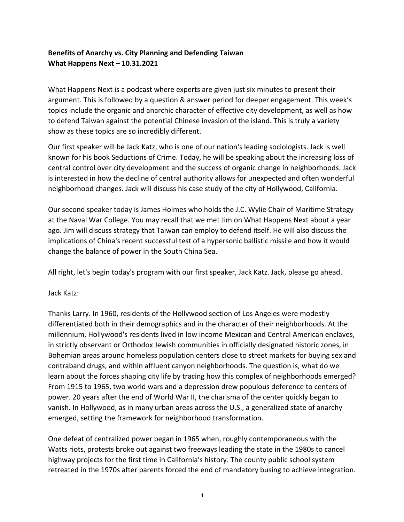# **Benefits of Anarchy vs. City Planning and Defending Taiwan What Happens Next – 10.31.2021**

What Happens Next is a podcast where experts are given just six minutes to present their argument. This is followed by a question & answer period for deeper engagement. This week's topics include the organic and anarchic character of effective city development, as well as how to defend Taiwan against the potential Chinese invasion of the island. This is truly a variety show as these topics are so incredibly different.

Our first speaker will be Jack Katz, who is one of our nation's leading sociologists. Jack is well known for his book Seductions of Crime. Today, he will be speaking about the increasing loss of central control over city development and the success of organic change in neighborhoods. Jack is interested in how the decline of central authority allows for unexpected and often wonderful neighborhood changes. Jack will discuss his case study of the city of Hollywood, California.

Our second speaker today is James Holmes who holds the J.C. Wylie Chair of Maritime Strategy at the Naval War College. You may recall that we met Jim on What Happens Next about a year ago. Jim will discuss strategy that Taiwan can employ to defend itself. He will also discuss the implications of China's recent successful test of a hypersonic ballistic missile and how it would change the balance of power in the South China Sea.

All right, let's begin today's program with our first speaker, Jack Katz. Jack, please go ahead.

Jack Katz:

Thanks Larry. In 1960, residents of the Hollywood section of Los Angeles were modestly differentiated both in their demographics and in the character of their neighborhoods. At the millennium, Hollywood's residents lived in low income Mexican and Central American enclaves, in strictly observant or Orthodox Jewish communities in officially designated historic zones, in Bohemian areas around homeless population centers close to street markets for buying sex and contraband drugs, and within affluent canyon neighborhoods. The question is, what do we learn about the forces shaping city life by tracing how this complex of neighborhoods emerged? From 1915 to 1965, two world wars and a depression drew populous deference to centers of power. 20 years after the end of World War II, the charisma of the center quickly began to vanish. In Hollywood, as in many urban areas across the U.S., a generalized state of anarchy emerged, setting the framework for neighborhood transformation.

One defeat of centralized power began in 1965 when, roughly contemporaneous with the Watts riots, protests broke out against two freeways leading the state in the 1980s to cancel highway projects for the first time in California's history. The county public school system retreated in the 1970s after parents forced the end of mandatory busing to achieve integration.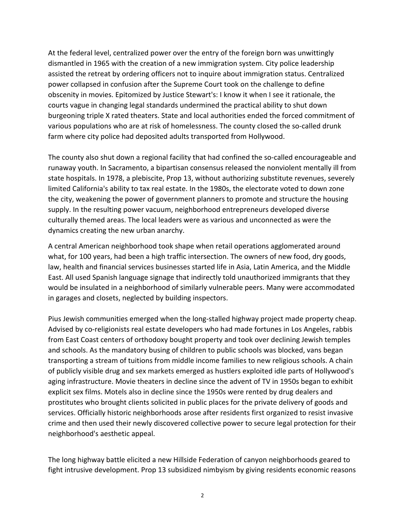At the federal level, centralized power over the entry of the foreign born was unwittingly dismantled in 1965 with the creation of a new immigration system. City police leadership assisted the retreat by ordering officers not to inquire about immigration status. Centralized power collapsed in confusion after the Supreme Court took on the challenge to define obscenity in movies. Epitomized by Justice Stewart's: I know it when I see it rationale, the courts vague in changing legal standards undermined the practical ability to shut down burgeoning triple X rated theaters. State and local authorities ended the forced commitment of various populations who are at risk of homelessness. The county closed the so-called drunk farm where city police had deposited adults transported from Hollywood.

The county also shut down a regional facility that had confined the so-called encourageable and runaway youth. In Sacramento, a bipartisan consensus released the nonviolent mentally ill from state hospitals. In 1978, a plebiscite, Prop 13, without authorizing substitute revenues, severely limited California's ability to tax real estate. In the 1980s, the electorate voted to down zone the city, weakening the power of government planners to promote and structure the housing supply. In the resulting power vacuum, neighborhood entrepreneurs developed diverse culturally themed areas. The local leaders were as various and unconnected as were the dynamics creating the new urban anarchy.

A central American neighborhood took shape when retail operations agglomerated around what, for 100 years, had been a high traffic intersection. The owners of new food, dry goods, law, health and financial services businesses started life in Asia, Latin America, and the Middle East. All used Spanish language signage that indirectly told unauthorized immigrants that they would be insulated in a neighborhood of similarly vulnerable peers. Many were accommodated in garages and closets, neglected by building inspectors.

Pius Jewish communities emerged when the long-stalled highway project made property cheap. Advised by co-religionists real estate developers who had made fortunes in Los Angeles, rabbis from East Coast centers of orthodoxy bought property and took over declining Jewish temples and schools. As the mandatory busing of children to public schools was blocked, vans began transporting a stream of tuitions from middle income families to new religious schools. A chain of publicly visible drug and sex markets emerged as hustlers exploited idle parts of Hollywood's aging infrastructure. Movie theaters in decline since the advent of TV in 1950s began to exhibit explicit sex films. Motels also in decline since the 1950s were rented by drug dealers and prostitutes who brought clients solicited in public places for the private delivery of goods and services. Officially historic neighborhoods arose after residents first organized to resist invasive crime and then used their newly discovered collective power to secure legal protection for their neighborhood's aesthetic appeal.

The long highway battle elicited a new Hillside Federation of canyon neighborhoods geared to fight intrusive development. Prop 13 subsidized nimbyism by giving residents economic reasons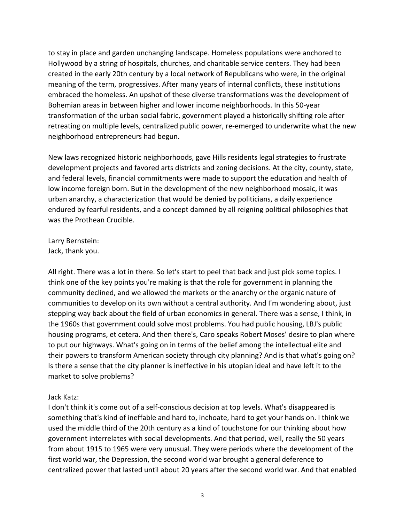to stay in place and garden unchanging landscape. Homeless populations were anchored to Hollywood by a string of hospitals, churches, and charitable service centers. They had been created in the early 20th century by a local network of Republicans who were, in the original meaning of the term, progressives. After many years of internal conflicts, these institutions embraced the homeless. An upshot of these diverse transformations was the development of Bohemian areas in between higher and lower income neighborhoods. In this 50-year transformation of the urban social fabric, government played a historically shifting role after retreating on multiple levels, centralized public power, re-emerged to underwrite what the new neighborhood entrepreneurs had begun.

New laws recognized historic neighborhoods, gave Hills residents legal strategies to frustrate development projects and favored arts districts and zoning decisions. At the city, county, state, and federal levels, financial commitments were made to support the education and health of low income foreign born. But in the development of the new neighborhood mosaic, it was urban anarchy, a characterization that would be denied by politicians, a daily experience endured by fearful residents, and a concept damned by all reigning political philosophies that was the Prothean Crucible.

Larry Bernstein: Jack, thank you.

All right. There was a lot in there. So let's start to peel that back and just pick some topics. I think one of the key points you're making is that the role for government in planning the community declined, and we allowed the markets or the anarchy or the organic nature of communities to develop on its own without a central authority. And I'm wondering about, just stepping way back about the field of urban economics in general. There was a sense, I think, in the 1960s that government could solve most problems. You had public housing, LBJ's public housing programs, et cetera. And then there's, Caro speaks Robert Moses' desire to plan where to put our highways. What's going on in terms of the belief among the intellectual elite and their powers to transform American society through city planning? And is that what's going on? Is there a sense that the city planner is ineffective in his utopian ideal and have left it to the market to solve problems?

### Jack Katz:

I don't think it's come out of a self-conscious decision at top levels. What's disappeared is something that's kind of ineffable and hard to, inchoate, hard to get your hands on. I think we used the middle third of the 20th century as a kind of touchstone for our thinking about how government interrelates with social developments. And that period, well, really the 50 years from about 1915 to 1965 were very unusual. They were periods where the development of the first world war, the Depression, the second world war brought a general deference to centralized power that lasted until about 20 years after the second world war. And that enabled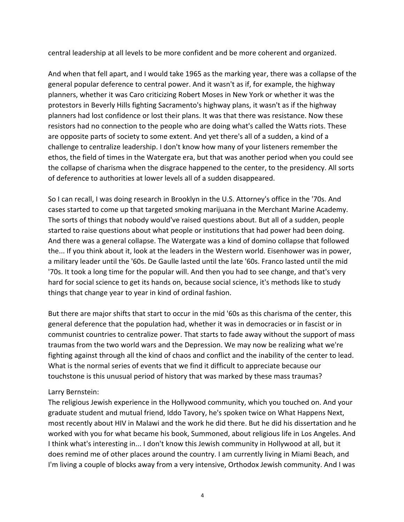central leadership at all levels to be more confident and be more coherent and organized.

And when that fell apart, and I would take 1965 as the marking year, there was a collapse of the general popular deference to central power. And it wasn't as if, for example, the highway planners, whether it was Caro criticizing Robert Moses in New York or whether it was the protestors in Beverly Hills fighting Sacramento's highway plans, it wasn't as if the highway planners had lost confidence or lost their plans. It was that there was resistance. Now these resistors had no connection to the people who are doing what's called the Watts riots. These are opposite parts of society to some extent. And yet there's all of a sudden, a kind of a challenge to centralize leadership. I don't know how many of your listeners remember the ethos, the field of times in the Watergate era, but that was another period when you could see the collapse of charisma when the disgrace happened to the center, to the presidency. All sorts of deference to authorities at lower levels all of a sudden disappeared.

So I can recall, I was doing research in Brooklyn in the U.S. Attorney's office in the '70s. And cases started to come up that targeted smoking marijuana in the Merchant Marine Academy. The sorts of things that nobody would've raised questions about. But all of a sudden, people started to raise questions about what people or institutions that had power had been doing. And there was a general collapse. The Watergate was a kind of domino collapse that followed the... If you think about it, look at the leaders in the Western world. Eisenhower was in power, a military leader until the '60s. De Gaulle lasted until the late '60s. Franco lasted until the mid '70s. It took a long time for the popular will. And then you had to see change, and that's very hard for social science to get its hands on, because social science, it's methods like to study things that change year to year in kind of ordinal fashion.

But there are major shifts that start to occur in the mid '60s as this charisma of the center, this general deference that the population had, whether it was in democracies or in fascist or in communist countries to centralize power. That starts to fade away without the support of mass traumas from the two world wars and the Depression. We may now be realizing what we're fighting against through all the kind of chaos and conflict and the inability of the center to lead. What is the normal series of events that we find it difficult to appreciate because our touchstone is this unusual period of history that was marked by these mass traumas?

### Larry Bernstein:

The religious Jewish experience in the Hollywood community, which you touched on. And your graduate student and mutual friend, Iddo Tavory, he's spoken twice on What Happens Next, most recently about HIV in Malawi and the work he did there. But he did his dissertation and he worked with you for what became his book, Summoned, about religious life in Los Angeles. And I think what's interesting in... I don't know this Jewish community in Hollywood at all, but it does remind me of other places around the country. I am currently living in Miami Beach, and I'm living a couple of blocks away from a very intensive, Orthodox Jewish community. And I was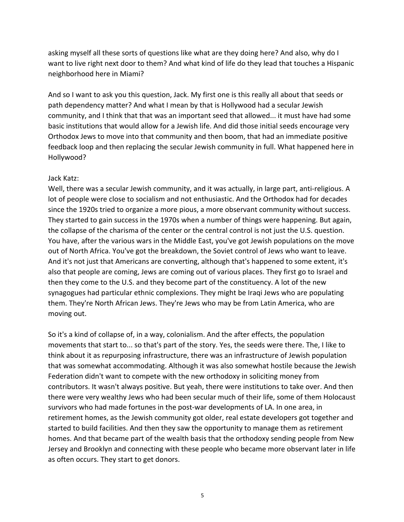asking myself all these sorts of questions like what are they doing here? And also, why do I want to live right next door to them? And what kind of life do they lead that touches a Hispanic neighborhood here in Miami?

And so I want to ask you this question, Jack. My first one is this really all about that seeds or path dependency matter? And what I mean by that is Hollywood had a secular Jewish community, and I think that that was an important seed that allowed... it must have had some basic institutions that would allow for a Jewish life. And did those initial seeds encourage very Orthodox Jews to move into that community and then boom, that had an immediate positive feedback loop and then replacing the secular Jewish community in full. What happened here in Hollywood?

#### Jack Katz:

Well, there was a secular Jewish community, and it was actually, in large part, anti-religious. A lot of people were close to socialism and not enthusiastic. And the Orthodox had for decades since the 1920s tried to organize a more pious, a more observant community without success. They started to gain success in the 1970s when a number of things were happening. But again, the collapse of the charisma of the center or the central control is not just the U.S. question. You have, after the various wars in the Middle East, you've got Jewish populations on the move out of North Africa. You've got the breakdown, the Soviet control of Jews who want to leave. And it's not just that Americans are converting, although that's happened to some extent, it's also that people are coming, Jews are coming out of various places. They first go to Israel and then they come to the U.S. and they become part of the constituency. A lot of the new synagogues had particular ethnic complexions. They might be Iraqi Jews who are populating them. They're North African Jews. They're Jews who may be from Latin America, who are moving out.

So it's a kind of collapse of, in a way, colonialism. And the after effects, the population movements that start to... so that's part of the story. Yes, the seeds were there. The, I like to think about it as repurposing infrastructure, there was an infrastructure of Jewish population that was somewhat accommodating. Although it was also somewhat hostile because the Jewish Federation didn't want to compete with the new orthodoxy in soliciting money from contributors. It wasn't always positive. But yeah, there were institutions to take over. And then there were very wealthy Jews who had been secular much of their life, some of them Holocaust survivors who had made fortunes in the post-war developments of LA. In one area, in retirement homes, as the Jewish community got older, real estate developers got together and started to build facilities. And then they saw the opportunity to manage them as retirement homes. And that became part of the wealth basis that the orthodoxy sending people from New Jersey and Brooklyn and connecting with these people who became more observant later in life as often occurs. They start to get donors.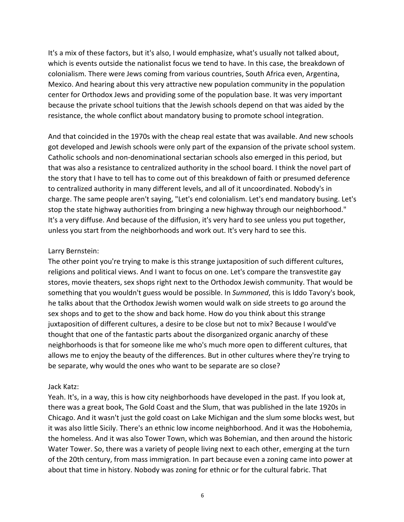It's a mix of these factors, but it's also, I would emphasize, what's usually not talked about, which is events outside the nationalist focus we tend to have. In this case, the breakdown of colonialism. There were Jews coming from various countries, South Africa even, Argentina, Mexico. And hearing about this very attractive new population community in the population center for Orthodox Jews and providing some of the population base. It was very important because the private school tuitions that the Jewish schools depend on that was aided by the resistance, the whole conflict about mandatory busing to promote school integration.

And that coincided in the 1970s with the cheap real estate that was available. And new schools got developed and Jewish schools were only part of the expansion of the private school system. Catholic schools and non-denominational sectarian schools also emerged in this period, but that was also a resistance to centralized authority in the school board. I think the novel part of the story that I have to tell has to come out of this breakdown of faith or presumed deference to centralized authority in many different levels, and all of it uncoordinated. Nobody's in charge. The same people aren't saying, "Let's end colonialism. Let's end mandatory busing. Let's stop the state highway authorities from bringing a new highway through our neighborhood." It's a very diffuse. And because of the diffusion, it's very hard to see unless you put together, unless you start from the neighborhoods and work out. It's very hard to see this.

#### Larry Bernstein:

The other point you're trying to make is this strange juxtaposition of such different cultures, religions and political views. And I want to focus on one. Let's compare the transvestite gay stores, movie theaters, sex shops right next to the Orthodox Jewish community. That would be something that you wouldn't guess would be possible. In *Summoned*, this is Iddo Tavory's book, he talks about that the Orthodox Jewish women would walk on side streets to go around the sex shops and to get to the show and back home. How do you think about this strange juxtaposition of different cultures, a desire to be close but not to mix? Because I would've thought that one of the fantastic parts about the disorganized organic anarchy of these neighborhoods is that for someone like me who's much more open to different cultures, that allows me to enjoy the beauty of the differences. But in other cultures where they're trying to be separate, why would the ones who want to be separate are so close?

#### Jack Katz:

Yeah. It's, in a way, this is how city neighborhoods have developed in the past. If you look at, there was a great book, The Gold Coast and the Slum, that was published in the late 1920s in Chicago. And it wasn't just the gold coast on Lake Michigan and the slum some blocks west, but it was also little Sicily. There's an ethnic low income neighborhood. And it was the Hobohemia, the homeless. And it was also Tower Town, which was Bohemian, and then around the historic Water Tower. So, there was a variety of people living next to each other, emerging at the turn of the 20th century, from mass immigration. In part because even a zoning came into power at about that time in history. Nobody was zoning for ethnic or for the cultural fabric. That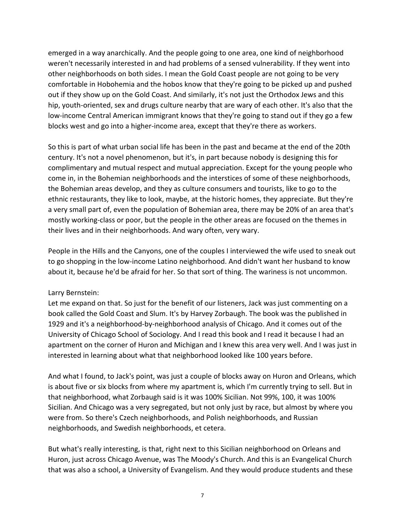emerged in a way anarchically. And the people going to one area, one kind of neighborhood weren't necessarily interested in and had problems of a sensed vulnerability. If they went into other neighborhoods on both sides. I mean the Gold Coast people are not going to be very comfortable in Hobohemia and the hobos know that they're going to be picked up and pushed out if they show up on the Gold Coast. And similarly, it's not just the Orthodox Jews and this hip, youth-oriented, sex and drugs culture nearby that are wary of each other. It's also that the low-income Central American immigrant knows that they're going to stand out if they go a few blocks west and go into a higher-income area, except that they're there as workers.

So this is part of what urban social life has been in the past and became at the end of the 20th century. It's not a novel phenomenon, but it's, in part because nobody is designing this for complimentary and mutual respect and mutual appreciation. Except for the young people who come in, in the Bohemian neighborhoods and the interstices of some of these neighborhoods, the Bohemian areas develop, and they as culture consumers and tourists, like to go to the ethnic restaurants, they like to look, maybe, at the historic homes, they appreciate. But they're a very small part of, even the population of Bohemian area, there may be 20% of an area that's mostly working-class or poor, but the people in the other areas are focused on the themes in their lives and in their neighborhoods. And wary often, very wary.

People in the Hills and the Canyons, one of the couples I interviewed the wife used to sneak out to go shopping in the low-income Latino neighborhood. And didn't want her husband to know about it, because he'd be afraid for her. So that sort of thing. The wariness is not uncommon.

### Larry Bernstein:

Let me expand on that. So just for the benefit of our listeners, Jack was just commenting on a book called the Gold Coast and Slum. It's by Harvey Zorbaugh. The book was the published in 1929 and it's a neighborhood-by-neighborhood analysis of Chicago. And it comes out of the University of Chicago School of Sociology. And I read this book and I read it because I had an apartment on the corner of Huron and Michigan and I knew this area very well. And I was just in interested in learning about what that neighborhood looked like 100 years before.

And what I found, to Jack's point, was just a couple of blocks away on Huron and Orleans, which is about five or six blocks from where my apartment is, which I'm currently trying to sell. But in that neighborhood, what Zorbaugh said is it was 100% Sicilian. Not 99%, 100, it was 100% Sicilian. And Chicago was a very segregated, but not only just by race, but almost by where you were from. So there's Czech neighborhoods, and Polish neighborhoods, and Russian neighborhoods, and Swedish neighborhoods, et cetera.

But what's really interesting, is that, right next to this Sicilian neighborhood on Orleans and Huron, just across Chicago Avenue, was The Moody's Church. And this is an Evangelical Church that was also a school, a University of Evangelism. And they would produce students and these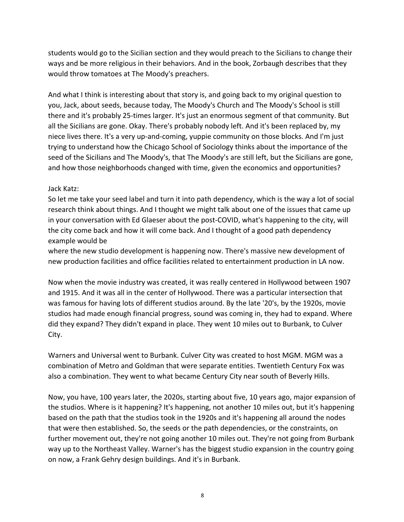students would go to the Sicilian section and they would preach to the Sicilians to change their ways and be more religious in their behaviors. And in the book, Zorbaugh describes that they would throw tomatoes at The Moody's preachers.

And what I think is interesting about that story is, and going back to my original question to you, Jack, about seeds, because today, The Moody's Church and The Moody's School is still there and it's probably 25-times larger. It's just an enormous segment of that community. But all the Sicilians are gone. Okay. There's probably nobody left. And it's been replaced by, my niece lives there. It's a very up-and-coming, yuppie community on those blocks. And I'm just trying to understand how the Chicago School of Sociology thinks about the importance of the seed of the Sicilians and The Moody's, that The Moody's are still left, but the Sicilians are gone, and how those neighborhoods changed with time, given the economics and opportunities?

### Jack Katz:

So let me take your seed label and turn it into path dependency, which is the way a lot of social research think about things. And I thought we might talk about one of the issues that came up in your conversation with Ed Glaeser about the post-COVID, what's happening to the city, will the city come back and how it will come back. And I thought of a good path dependency example would be

where the new studio development is happening now. There's massive new development of new production facilities and office facilities related to entertainment production in LA now.

Now when the movie industry was created, it was really centered in Hollywood between 1907 and 1915. And it was all in the center of Hollywood. There was a particular intersection that was famous for having lots of different studios around. By the late '20's, by the 1920s, movie studios had made enough financial progress, sound was coming in, they had to expand. Where did they expand? They didn't expand in place. They went 10 miles out to Burbank, to Culver City.

Warners and Universal went to Burbank. Culver City was created to host MGM. MGM was a combination of Metro and Goldman that were separate entities. Twentieth Century Fox was also a combination. They went to what became Century City near south of Beverly Hills.

Now, you have, 100 years later, the 2020s, starting about five, 10 years ago, major expansion of the studios. Where is it happening? It's happening, not another 10 miles out, but it's happening based on the path that the studios took in the 1920s and it's happening all around the nodes that were then established. So, the seeds or the path dependencies, or the constraints, on further movement out, they're not going another 10 miles out. They're not going from Burbank way up to the Northeast Valley. Warner's has the biggest studio expansion in the country going on now, a Frank Gehry design buildings. And it's in Burbank.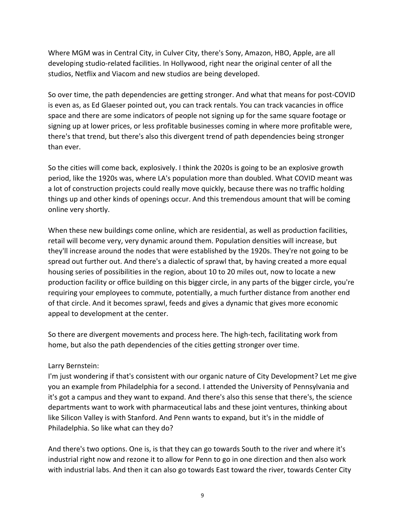Where MGM was in Central City, in Culver City, there's Sony, Amazon, HBO, Apple, are all developing studio-related facilities. In Hollywood, right near the original center of all the studios, Netflix and Viacom and new studios are being developed.

So over time, the path dependencies are getting stronger. And what that means for post-COVID is even as, as Ed Glaeser pointed out, you can track rentals. You can track vacancies in office space and there are some indicators of people not signing up for the same square footage or signing up at lower prices, or less profitable businesses coming in where more profitable were, there's that trend, but there's also this divergent trend of path dependencies being stronger than ever.

So the cities will come back, explosively. I think the 2020s is going to be an explosive growth period, like the 1920s was, where LA's population more than doubled. What COVID meant was a lot of construction projects could really move quickly, because there was no traffic holding things up and other kinds of openings occur. And this tremendous amount that will be coming online very shortly.

When these new buildings come online, which are residential, as well as production facilities, retail will become very, very dynamic around them. Population densities will increase, but they'll increase around the nodes that were established by the 1920s. They're not going to be spread out further out. And there's a dialectic of sprawl that, by having created a more equal housing series of possibilities in the region, about 10 to 20 miles out, now to locate a new production facility or office building on this bigger circle, in any parts of the bigger circle, you're requiring your employees to commute, potentially, a much further distance from another end of that circle. And it becomes sprawl, feeds and gives a dynamic that gives more economic appeal to development at the center.

So there are divergent movements and process here. The high-tech, facilitating work from home, but also the path dependencies of the cities getting stronger over time.

# Larry Bernstein:

I'm just wondering if that's consistent with our organic nature of City Development? Let me give you an example from Philadelphia for a second. I attended the University of Pennsylvania and it's got a campus and they want to expand. And there's also this sense that there's, the science departments want to work with pharmaceutical labs and these joint ventures, thinking about like Silicon Valley is with Stanford. And Penn wants to expand, but it's in the middle of Philadelphia. So like what can they do?

And there's two options. One is, is that they can go towards South to the river and where it's industrial right now and rezone it to allow for Penn to go in one direction and then also work with industrial labs. And then it can also go towards East toward the river, towards Center City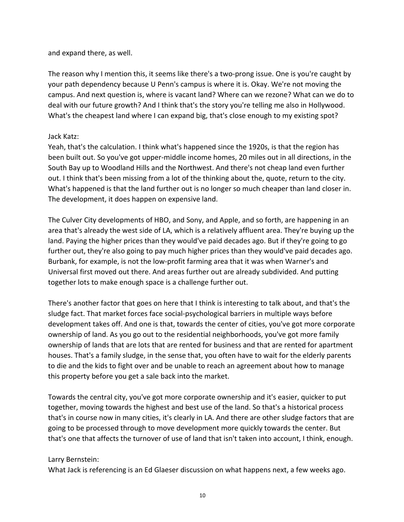## and expand there, as well.

The reason why I mention this, it seems like there's a two-prong issue. One is you're caught by your path dependency because U Penn's campus is where it is. Okay. We're not moving the campus. And next question is, where is vacant land? Where can we rezone? What can we do to deal with our future growth? And I think that's the story you're telling me also in Hollywood. What's the cheapest land where I can expand big, that's close enough to my existing spot?

## Jack Katz:

Yeah, that's the calculation. I think what's happened since the 1920s, is that the region has been built out. So you've got upper-middle income homes, 20 miles out in all directions, in the South Bay up to Woodland Hills and the Northwest. And there's not cheap land even further out. I think that's been missing from a lot of the thinking about the, quote, return to the city. What's happened is that the land further out is no longer so much cheaper than land closer in. The development, it does happen on expensive land.

The Culver City developments of HBO, and Sony, and Apple, and so forth, are happening in an area that's already the west side of LA, which is a relatively affluent area. They're buying up the land. Paying the higher prices than they would've paid decades ago. But if they're going to go further out, they're also going to pay much higher prices than they would've paid decades ago. Burbank, for example, is not the low-profit farming area that it was when Warner's and Universal first moved out there. And areas further out are already subdivided. And putting together lots to make enough space is a challenge further out.

There's another factor that goes on here that I think is interesting to talk about, and that's the sludge fact. That market forces face social-psychological barriers in multiple ways before development takes off. And one is that, towards the center of cities, you've got more corporate ownership of land. As you go out to the residential neighborhoods, you've got more family ownership of lands that are lots that are rented for business and that are rented for apartment houses. That's a family sludge, in the sense that, you often have to wait for the elderly parents to die and the kids to fight over and be unable to reach an agreement about how to manage this property before you get a sale back into the market.

Towards the central city, you've got more corporate ownership and it's easier, quicker to put together, moving towards the highest and best use of the land. So that's a historical process that's in course now in many cities, it's clearly in LA. And there are other sludge factors that are going to be processed through to move development more quickly towards the center. But that's one that affects the turnover of use of land that isn't taken into account, I think, enough.

# Larry Bernstein:

What Jack is referencing is an Ed Glaeser discussion on what happens next, a few weeks ago.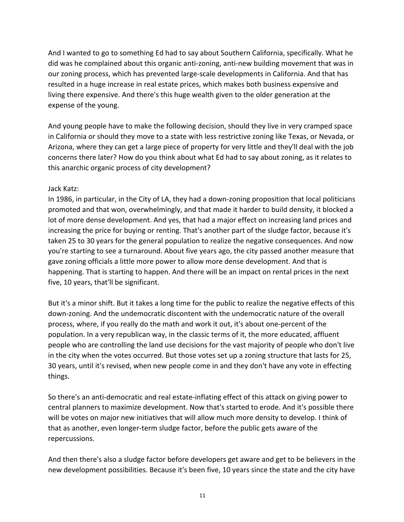And I wanted to go to something Ed had to say about Southern California, specifically. What he did was he complained about this organic anti-zoning, anti-new building movement that was in our zoning process, which has prevented large-scale developments in California. And that has resulted in a huge increase in real estate prices, which makes both business expensive and living there expensive. And there's this huge wealth given to the older generation at the expense of the young.

And young people have to make the following decision, should they live in very cramped space in California or should they move to a state with less restrictive zoning like Texas, or Nevada, or Arizona, where they can get a large piece of property for very little and they'll deal with the job concerns there later? How do you think about what Ed had to say about zoning, as it relates to this anarchic organic process of city development?

#### Jack Katz:

In 1986, in particular, in the City of LA, they had a down-zoning proposition that local politicians promoted and that won, overwhelmingly, and that made it harder to build density, it blocked a lot of more dense development. And yes, that had a major effect on increasing land prices and increasing the price for buying or renting. That's another part of the sludge factor, because it's taken 25 to 30 years for the general population to realize the negative consequences. And now you're starting to see a turnaround. About five years ago, the city passed another measure that gave zoning officials a little more power to allow more dense development. And that is happening. That is starting to happen. And there will be an impact on rental prices in the next five, 10 years, that'll be significant.

But it's a minor shift. But it takes a long time for the public to realize the negative effects of this down-zoning. And the undemocratic discontent with the undemocratic nature of the overall process, where, if you really do the math and work it out, it's about one-percent of the population. In a very republican way, in the classic terms of it, the more educated, affluent people who are controlling the land use decisions for the vast majority of people who don't live in the city when the votes occurred. But those votes set up a zoning structure that lasts for 25, 30 years, until it's revised, when new people come in and they don't have any vote in effecting things.

So there's an anti-democratic and real estate-inflating effect of this attack on giving power to central planners to maximize development. Now that's started to erode. And it's possible there will be votes on major new initiatives that will allow much more density to develop. I think of that as another, even longer-term sludge factor, before the public gets aware of the repercussions.

And then there's also a sludge factor before developers get aware and get to be believers in the new development possibilities. Because it's been five, 10 years since the state and the city have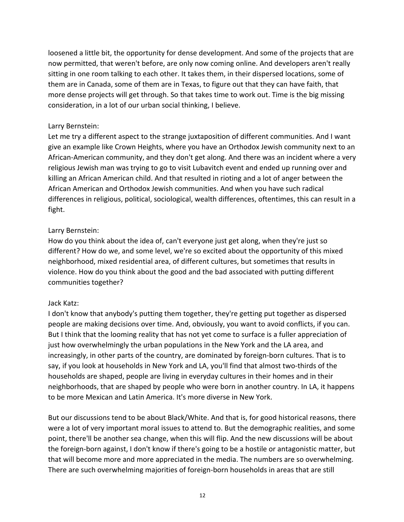loosened a little bit, the opportunity for dense development. And some of the projects that are now permitted, that weren't before, are only now coming online. And developers aren't really sitting in one room talking to each other. It takes them, in their dispersed locations, some of them are in Canada, some of them are in Texas, to figure out that they can have faith, that more dense projects will get through. So that takes time to work out. Time is the big missing consideration, in a lot of our urban social thinking, I believe.

#### Larry Bernstein:

Let me try a different aspect to the strange juxtaposition of different communities. And I want give an example like Crown Heights, where you have an Orthodox Jewish community next to an African-American community, and they don't get along. And there was an incident where a very religious Jewish man was trying to go to visit Lubavitch event and ended up running over and killing an African American child. And that resulted in rioting and a lot of anger between the African American and Orthodox Jewish communities. And when you have such radical differences in religious, political, sociological, wealth differences, oftentimes, this can result in a fight.

### Larry Bernstein:

How do you think about the idea of, can't everyone just get along, when they're just so different? How do we, and some level, we're so excited about the opportunity of this mixed neighborhood, mixed residential area, of different cultures, but sometimes that results in violence. How do you think about the good and the bad associated with putting different communities together?

### Jack Katz:

I don't know that anybody's putting them together, they're getting put together as dispersed people are making decisions over time. And, obviously, you want to avoid conflicts, if you can. But I think that the looming reality that has not yet come to surface is a fuller appreciation of just how overwhelmingly the urban populations in the New York and the LA area, and increasingly, in other parts of the country, are dominated by foreign-born cultures. That is to say, if you look at households in New York and LA, you'll find that almost two-thirds of the households are shaped, people are living in everyday cultures in their homes and in their neighborhoods, that are shaped by people who were born in another country. In LA, it happens to be more Mexican and Latin America. It's more diverse in New York.

But our discussions tend to be about Black/White. And that is, for good historical reasons, there were a lot of very important moral issues to attend to. But the demographic realities, and some point, there'll be another sea change, when this will flip. And the new discussions will be about the foreign-born against, I don't know if there's going to be a hostile or antagonistic matter, but that will become more and more appreciated in the media. The numbers are so overwhelming. There are such overwhelming majorities of foreign-born households in areas that are still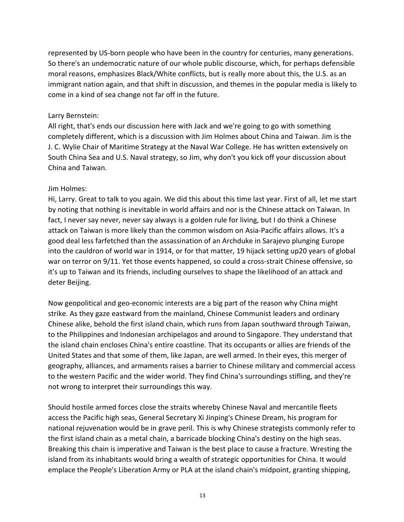represented by US-born people who have been in the country for centuries, many generations. So there's an undemocratic nature of our whole public discourse, which, for perhaps defensible moral reasons, emphasizes Black/White conflicts, but is really more about this, the U.S. as an immigrant nation again, and that shift in discussion, and themes in the popular media is likely to come in a kind of sea change not far off in the future.

### Larry Bernstein:

All right, that's ends our discussion here with Jack and we're going to go with something completely different, which is a discussion with Jim Holmes about China and Taiwan. Jim is the J. C. Wylie Chair of Maritime Strategy at the Naval War College. He has written extensively on South China Sea and U.S. Naval strategy, so Jim, why don't you kick off your discussion about China and Taiwan.

## Jim Holmes:

Hi, Larry. Great to talk to you again. We did this about this time last year. First of all, let me start by noting that nothing is inevitable in world affairs and nor is the Chinese attack on Taiwan. In fact, I never say never, never say always is a golden rule for living, but I do think a Chinese attack on Taiwan is more likely than the common wisdom on Asia-Pacific affairs allows. It's a good deal less farfetched than the assassination of an Archduke in Sarajevo plunging Europe into the cauldron of world war in 1914, or for that matter, 19 hijack setting up20 years of global war on terror on 9/11. Yet those events happened, so could a cross-strait Chinese offensive, so it's up to Taiwan and its friends, including ourselves to shape the likelihood of an attack and deter Beijing.

Now geopolitical and geo-economic interests are a big part of the reason why China might strike. As they gaze eastward from the mainland, Chinese Communist leaders and ordinary Chinese alike, behold the first island chain, which runs from Japan southward through Taiwan, to the Philippines and Indonesian archipelagos and around to Singapore. They understand that the island chain encloses China's entire coastline. That its occupants or allies are friends of the United States and that some of them, like Japan, are well armed. In their eyes, this merger of geography, alliances, and armaments raises a barrier to Chinese military and commercial access to the western Pacific and the wider world. They find China's surroundings stifling, and they're not wrong to interpret their surroundings this way.

Should hostile armed forces close the straits whereby Chinese Naval and mercantile fleets access the Pacific high seas, General Secretary Xi Jinping's Chinese Dream, his program for national rejuvenation would be in grave peril. This is why Chinese strategists commonly refer to the first island chain as a metal chain, a barricade blocking China's destiny on the high seas. Breaking this chain is imperative and Taiwan is the best place to cause a fracture. Wresting the island from its inhabitants would bring a wealth of strategic opportunities for China. It would emplace the People's Liberation Army or PLA at the island chain's midpoint, granting shipping,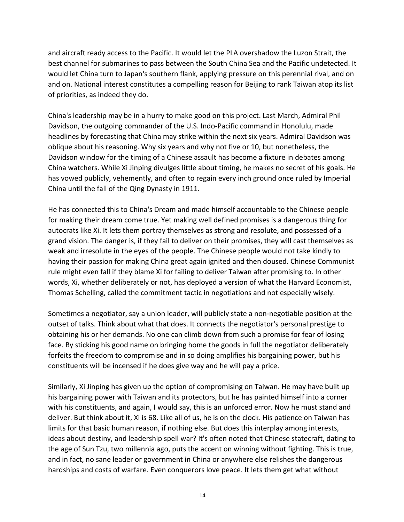and aircraft ready access to the Pacific. It would let the PLA overshadow the Luzon Strait, the best channel for submarines to pass between the South China Sea and the Pacific undetected. It would let China turn to Japan's southern flank, applying pressure on this perennial rival, and on and on. National interest constitutes a compelling reason for Beijing to rank Taiwan atop its list of priorities, as indeed they do.

China's leadership may be in a hurry to make good on this project. Last March, Admiral Phil Davidson, the outgoing commander of the U.S. Indo-Pacific command in Honolulu, made headlines by forecasting that China may strike within the next six years. Admiral Davidson was oblique about his reasoning. Why six years and why not five or 10, but nonetheless, the Davidson window for the timing of a Chinese assault has become a fixture in debates among China watchers. While Xi Jinping divulges little about timing, he makes no secret of his goals. He has vowed publicly, vehemently, and often to regain every inch ground once ruled by Imperial China until the fall of the Qing Dynasty in 1911.

He has connected this to China's Dream and made himself accountable to the Chinese people for making their dream come true. Yet making well defined promises is a dangerous thing for autocrats like Xi. It lets them portray themselves as strong and resolute, and possessed of a grand vision. The danger is, if they fail to deliver on their promises, they will cast themselves as weak and irresolute in the eyes of the people. The Chinese people would not take kindly to having their passion for making China great again ignited and then doused. Chinese Communist rule might even fall if they blame Xi for failing to deliver Taiwan after promising to. In other words, Xi, whether deliberately or not, has deployed a version of what the Harvard Economist, Thomas Schelling, called the commitment tactic in negotiations and not especially wisely.

Sometimes a negotiator, say a union leader, will publicly state a non-negotiable position at the outset of talks. Think about what that does. It connects the negotiator's personal prestige to obtaining his or her demands. No one can climb down from such a promise for fear of losing face. By sticking his good name on bringing home the goods in full the negotiator deliberately forfeits the freedom to compromise and in so doing amplifies his bargaining power, but his constituents will be incensed if he does give way and he will pay a price.

Similarly, Xi Jinping has given up the option of compromising on Taiwan. He may have built up his bargaining power with Taiwan and its protectors, but he has painted himself into a corner with his constituents, and again, I would say, this is an unforced error. Now he must stand and deliver. But think about it, Xi is 68. Like all of us, he is on the clock. His patience on Taiwan has limits for that basic human reason, if nothing else. But does this interplay among interests, ideas about destiny, and leadership spell war? It's often noted that Chinese statecraft, dating to the age of Sun Tzu, two millennia ago, puts the accent on winning without fighting. This is true, and in fact, no sane leader or government in China or anywhere else relishes the dangerous hardships and costs of warfare. Even conquerors love peace. It lets them get what without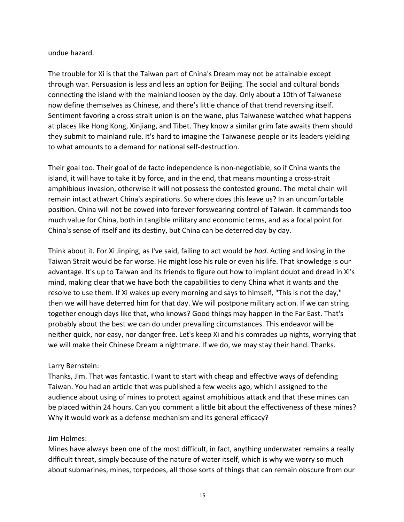### undue hazard.

The trouble for Xi is that the Taiwan part of China's Dream may not be attainable except through war. Persuasion is less and less an option for Beijing. The social and cultural bonds connecting the island with the mainland loosen by the day. Only about a 10th of Taiwanese now define themselves as Chinese, and there's little chance of that trend reversing itself. Sentiment favoring a cross-strait union is on the wane, plus Taiwanese watched what happens at places like Hong Kong, Xinjiang, and Tibet. They know a similar grim fate awaits them should they submit to mainland rule. It's hard to imagine the Taiwanese people or its leaders yielding to what amounts to a demand for national self-destruction.

Their goal too. Their goal of de facto independence is non-negotiable, so if China wants the island, it will have to take it by force, and in the end, that means mounting a cross-strait amphibious invasion, otherwise it will not possess the contested ground. The metal chain will remain intact athwart China's aspirations. So where does this leave us? In an uncomfortable position. China will not be cowed into forever forswearing control of Taiwan. It commands too much value for China, both in tangible military and economic terms, and as a focal point for China's sense of itself and its destiny, but China can be deterred day by day.

Think about it. For Xi Jinping, as I've said, failing to act would be *bad*. Acting and losing in the Taiwan Strait would be far worse. He might lose his rule or even his life. That knowledge is our advantage. It's up to Taiwan and its friends to figure out how to implant doubt and dread in Xi's mind, making clear that we have both the capabilities to deny China what it wants and the resolve to use them. If Xi wakes up every morning and says to himself, "This is not the day," then we will have deterred him for that day. We will postpone military action. If we can string together enough days like that, who knows? Good things may happen in the Far East. That's probably about the best we can do under prevailing circumstances. This endeavor will be neither quick, nor easy, nor danger free. Let's keep Xi and his comrades up nights, worrying that we will make their Chinese Dream a nightmare. If we do, we may stay their hand. Thanks.

### Larry Bernstein:

Thanks, Jim. That was fantastic. I want to start with cheap and effective ways of defending Taiwan. You had an article that was published a few weeks ago, which I assigned to the audience about using of mines to protect against amphibious attack and that these mines can be placed within 24 hours. Can you comment a little bit about the effectiveness of these mines? Why it would work as a defense mechanism and its general efficacy?

# Jim Holmes:

Mines have always been one of the most difficult, in fact, anything underwater remains a really difficult threat, simply because of the nature of water itself, which is why we worry so much about submarines, mines, torpedoes, all those sorts of things that can remain obscure from our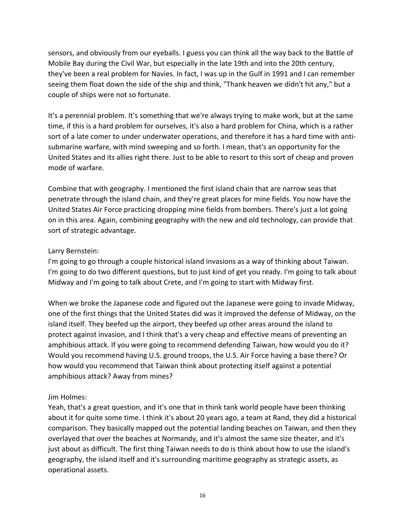sensors, and obviously from our eyeballs. I guess you can think all the way back to the Battle of Mobile Bay during the Civil War, but especially in the late 19th and into the 20th century, they've been a real problem for Navies. In fact, I was up in the Gulf in 1991 and I can remember seeing them float down the side of the ship and think, "Thank heaven we didn't hit any," but a couple of ships were not so fortunate.

It's a perennial problem. It's something that we're always trying to make work, but at the same time, if this is a hard problem for ourselves, it's also a hard problem for China, which is a rather sort of a late comer to under underwater operations, and therefore it has a hard time with antisubmarine warfare, with mind sweeping and so forth. I mean, that's an opportunity for the United States and its allies right there. Just to be able to resort to this sort of cheap and proven mode of warfare.

Combine that with geography. I mentioned the first island chain that are narrow seas that penetrate through the island chain, and they're great places for mine fields. You now have the United States Air Force practicing dropping mine fields from bombers. There's just a lot going on in this area. Again, combining geography with the new and old technology, can provide that sort of strategic advantage.

### Larry Bernstein:

I'm going to go through a couple historical island invasions as a way of thinking about Taiwan. I'm going to do two different questions, but to just kind of get you ready. I'm going to talk about Midway and I'm going to talk about Crete, and I'm going to start with Midway first.

When we broke the Japanese code and figured out the Japanese were going to invade Midway, one of the first things that the United States did was it improved the defense of Midway, on the island itself. They beefed up the airport, they beefed up other areas around the island to protect against invasion, and I think that's a very cheap and effective means of preventing an amphibious attack. If you were going to recommend defending Taiwan, how would you do it? Would you recommend having U.S. ground troops, the U.S. Air Force having a base there? Or how would you recommend that Taiwan think about protecting itself against a potential amphibious attack? Away from mines?

# Jim Holmes:

Yeah, that's a great question, and it's one that in think tank world people have been thinking about it for quite some time. I think it's about 20 years ago, a team at Rand, they did a historical comparison. They basically mapped out the potential landing beaches on Taiwan, and then they overlayed that over the beaches at Normandy, and it's almost the same size theater, and it's just about as difficult. The first thing Taiwan needs to do is think about how to use the island's geography, the island itself and it's surrounding maritime geography as strategic assets, as operational assets.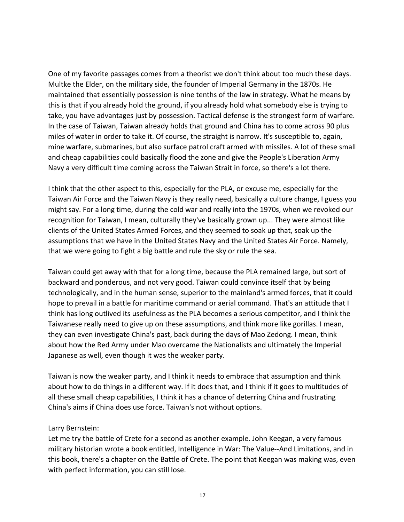One of my favorite passages comes from a theorist we don't think about too much these days. Multke the Elder, on the military side, the founder of Imperial Germany in the 1870s. He maintained that essentially possession is nine tenths of the law in strategy. What he means by this is that if you already hold the ground, if you already hold what somebody else is trying to take, you have advantages just by possession. Tactical defense is the strongest form of warfare. In the case of Taiwan, Taiwan already holds that ground and China has to come across 90 plus miles of water in order to take it. Of course, the straight is narrow. It's susceptible to, again, mine warfare, submarines, but also surface patrol craft armed with missiles. A lot of these small and cheap capabilities could basically flood the zone and give the People's Liberation Army Navy a very difficult time coming across the Taiwan Strait in force, so there's a lot there.

I think that the other aspect to this, especially for the PLA, or excuse me, especially for the Taiwan Air Force and the Taiwan Navy is they really need, basically a culture change, I guess you might say. For a long time, during the cold war and really into the 1970s, when we revoked our recognition for Taiwan, I mean, culturally they've basically grown up... They were almost like clients of the United States Armed Forces, and they seemed to soak up that, soak up the assumptions that we have in the United States Navy and the United States Air Force. Namely, that we were going to fight a big battle and rule the sky or rule the sea.

Taiwan could get away with that for a long time, because the PLA remained large, but sort of backward and ponderous, and not very good. Taiwan could convince itself that by being technologically, and in the human sense, superior to the mainland's armed forces, that it could hope to prevail in a battle for maritime command or aerial command. That's an attitude that I think has long outlived its usefulness as the PLA becomes a serious competitor, and I think the Taiwanese really need to give up on these assumptions, and think more like gorillas. I mean, they can even investigate China's past, back during the days of Mao Zedong. I mean, think about how the Red Army under Mao overcame the Nationalists and ultimately the Imperial Japanese as well, even though it was the weaker party.

Taiwan is now the weaker party, and I think it needs to embrace that assumption and think about how to do things in a different way. If it does that, and I think if it goes to multitudes of all these small cheap capabilities, I think it has a chance of deterring China and frustrating China's aims if China does use force. Taiwan's not without options.

### Larry Bernstein:

Let me try the battle of Crete for a second as another example. John Keegan, a very famous military historian wrote a book entitled, Intelligence in War: The Value--And Limitations, and in this book, there's a chapter on the Battle of Crete. The point that Keegan was making was, even with perfect information, you can still lose.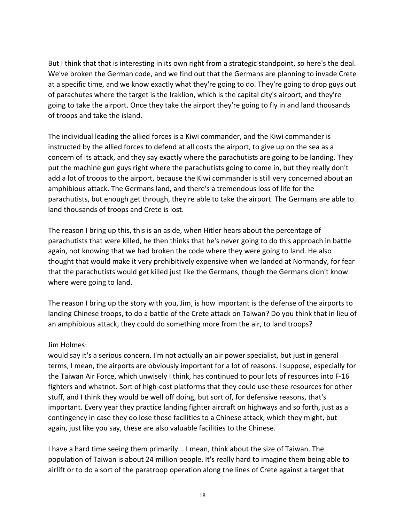But I think that that is interesting in its own right from a strategic standpoint, so here's the deal. We've broken the German code, and we find out that the Germans are planning to invade Crete at a specific time, and we know exactly what they're going to do. They're going to drop guys out of parachutes where the target is the Iraklion, which is the capital city's airport, and they're going to take the airport. Once they take the airport they're going to fly in and land thousands of troops and take the island.

The individual leading the allied forces is a Kiwi commander, and the Kiwi commander is instructed by the allied forces to defend at all costs the airport, to give up on the sea as a concern of its attack, and they say exactly where the parachutists are going to be landing. They put the machine gun guys right where the parachutists going to come in, but they really don't add a lot of troops to the airport, because the Kiwi commander is still very concerned about an amphibious attack. The Germans land, and there's a tremendous loss of life for the parachutists, but enough get through, they're able to take the airport. The Germans are able to land thousands of troops and Crete is lost.

The reason I bring up this, this is an aside, when Hitler hears about the percentage of parachutists that were killed, he then thinks that he's never going to do this approach in battle again, not knowing that we had broken the code where they were going to land. He also thought that would make it very prohibitively expensive when we landed at Normandy, for fear that the parachutists would get killed just like the Germans, though the Germans didn't know where were going to land.

The reason I bring up the story with you, Jim, is how important is the defense of the airports to landing Chinese troops, to do a battle of the Crete attack on Taiwan? Do you think that in lieu of an amphibious attack, they could do something more from the air, to land troops?

### Jim Holmes:

would say it's a serious concern. I'm not actually an air power specialist, but just in general terms, I mean, the airports are obviously important for a lot of reasons. I suppose, especially for the Taiwan Air Force, which unwisely I think, has continued to pour lots of resources into F-16 fighters and whatnot. Sort of high-cost platforms that they could use these resources for other stuff, and I think they would be well off doing, but sort of, for defensive reasons, that's important. Every year they practice landing fighter aircraft on highways and so forth, just as a contingency in case they do lose those facilities to a Chinese attack, which they might, but again, just like you say, these are also valuable facilities to the Chinese.

I have a hard time seeing them primarily... I mean, think about the size of Taiwan. The population of Taiwan is about 24 million people. It's really hard to imagine them being able to airlift or to do a sort of the paratroop operation along the lines of Crete against a target that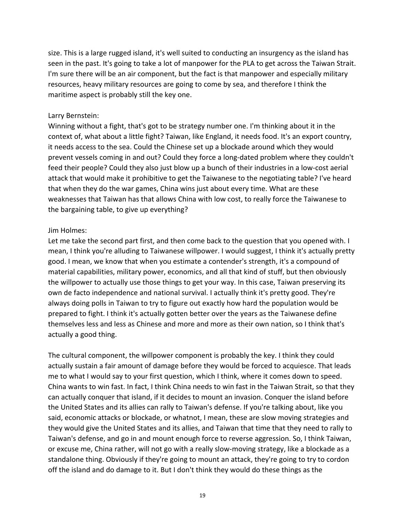size. This is a large rugged island, it's well suited to conducting an insurgency as the island has seen in the past. It's going to take a lot of manpower for the PLA to get across the Taiwan Strait. I'm sure there will be an air component, but the fact is that manpower and especially military resources, heavy military resources are going to come by sea, and therefore I think the maritime aspect is probably still the key one.

#### Larry Bernstein:

Winning without a fight, that's got to be strategy number one. I'm thinking about it in the context of, what about a little fight? Taiwan, like England, it needs food. It's an export country, it needs access to the sea. Could the Chinese set up a blockade around which they would prevent vessels coming in and out? Could they force a long-dated problem where they couldn't feed their people? Could they also just blow up a bunch of their industries in a low-cost aerial attack that would make it prohibitive to get the Taiwanese to the negotiating table? I've heard that when they do the war games, China wins just about every time. What are these weaknesses that Taiwan has that allows China with low cost, to really force the Taiwanese to the bargaining table, to give up everything?

#### Jim Holmes:

Let me take the second part first, and then come back to the question that you opened with. I mean, I think you're alluding to Taiwanese willpower. I would suggest, I think it's actually pretty good. I mean, we know that when you estimate a contender's strength, it's a compound of material capabilities, military power, economics, and all that kind of stuff, but then obviously the willpower to actually use those things to get your way. In this case, Taiwan preserving its own de facto independence and national survival. I actually think it's pretty good. They're always doing polls in Taiwan to try to figure out exactly how hard the population would be prepared to fight. I think it's actually gotten better over the years as the Taiwanese define themselves less and less as Chinese and more and more as their own nation, so I think that's actually a good thing.

The cultural component, the willpower component is probably the key. I think they could actually sustain a fair amount of damage before they would be forced to acquiesce. That leads me to what I would say to your first question, which I think, where it comes down to speed. China wants to win fast. In fact, I think China needs to win fast in the Taiwan Strait, so that they can actually conquer that island, if it decides to mount an invasion. Conquer the island before the United States and its allies can rally to Taiwan's defense. If you're talking about, like you said, economic attacks or blockade, or whatnot, I mean, these are slow moving strategies and they would give the United States and its allies, and Taiwan that time that they need to rally to Taiwan's defense, and go in and mount enough force to reverse aggression. So, I think Taiwan, or excuse me, China rather, will not go with a really slow-moving strategy, like a blockade as a standalone thing. Obviously if they're going to mount an attack, they're going to try to cordon off the island and do damage to it. But I don't think they would do these things as the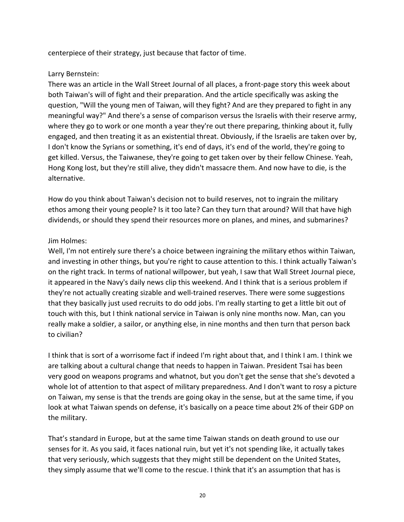centerpiece of their strategy, just because that factor of time.

# Larry Bernstein:

There was an article in the Wall Street Journal of all places, a front-page story this week about both Taiwan's will of fight and their preparation. And the article specifically was asking the question, "Will the young men of Taiwan, will they fight? And are they prepared to fight in any meaningful way?" And there's a sense of comparison versus the Israelis with their reserve army, where they go to work or one month a year they're out there preparing, thinking about it, fully engaged, and then treating it as an existential threat. Obviously, if the Israelis are taken over by, I don't know the Syrians or something, it's end of days, it's end of the world, they're going to get killed. Versus, the Taiwanese, they're going to get taken over by their fellow Chinese. Yeah, Hong Kong lost, but they're still alive, they didn't massacre them. And now have to die, is the alternative.

How do you think about Taiwan's decision not to build reserves, not to ingrain the military ethos among their young people? Is it too late? Can they turn that around? Will that have high dividends, or should they spend their resources more on planes, and mines, and submarines?

## Jim Holmes:

Well, I'm not entirely sure there's a choice between ingraining the military ethos within Taiwan, and investing in other things, but you're right to cause attention to this. I think actually Taiwan's on the right track. In terms of national willpower, but yeah, I saw that Wall Street Journal piece, it appeared in the Navy's daily news clip this weekend. And I think that is a serious problem if they're not actually creating sizable and well-trained reserves. There were some suggestions that they basically just used recruits to do odd jobs. I'm really starting to get a little bit out of touch with this, but I think national service in Taiwan is only nine months now. Man, can you really make a soldier, a sailor, or anything else, in nine months and then turn that person back to civilian?

I think that is sort of a worrisome fact if indeed I'm right about that, and I think I am. I think we are talking about a cultural change that needs to happen in Taiwan. President Tsai has been very good on weapons programs and whatnot, but you don't get the sense that she's devoted a whole lot of attention to that aspect of military preparedness. And I don't want to rosy a picture on Taiwan, my sense is that the trends are going okay in the sense, but at the same time, if you look at what Taiwan spends on defense, it's basically on a peace time about 2% of their GDP on the military.

That's standard in Europe, but at the same time Taiwan stands on death ground to use our senses for it. As you said, it faces national ruin, but yet it's not spending like, it actually takes that very seriously, which suggests that they might still be dependent on the United States, they simply assume that we'll come to the rescue. I think that it's an assumption that has is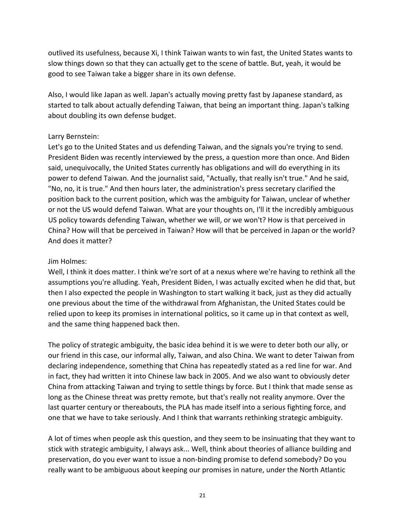outlived its usefulness, because Xi, I think Taiwan wants to win fast, the United States wants to slow things down so that they can actually get to the scene of battle. But, yeah, it would be good to see Taiwan take a bigger share in its own defense.

Also, I would like Japan as well. Japan's actually moving pretty fast by Japanese standard, as started to talk about actually defending Taiwan, that being an important thing. Japan's talking about doubling its own defense budget.

### Larry Bernstein:

Let's go to the United States and us defending Taiwan, and the signals you're trying to send. President Biden was recently interviewed by the press, a question more than once. And Biden said, unequivocally, the United States currently has obligations and will do everything in its power to defend Taiwan. And the journalist said, "Actually, that really isn't true." And he said, "No, no, it is true." And then hours later, the administration's press secretary clarified the position back to the current position, which was the ambiguity for Taiwan, unclear of whether or not the US would defend Taiwan. What are your thoughts on, I'll it the incredibly ambiguous US policy towards defending Taiwan, whether we will, or we won't? How is that perceived in China? How will that be perceived in Taiwan? How will that be perceived in Japan or the world? And does it matter?

#### Jim Holmes:

Well, I think it does matter. I think we're sort of at a nexus where we're having to rethink all the assumptions you're alluding. Yeah, President Biden, I was actually excited when he did that, but then I also expected the people in Washington to start walking it back, just as they did actually one previous about the time of the withdrawal from Afghanistan, the United States could be relied upon to keep its promises in international politics, so it came up in that context as well, and the same thing happened back then.

The policy of strategic ambiguity, the basic idea behind it is we were to deter both our ally, or our friend in this case, our informal ally, Taiwan, and also China. We want to deter Taiwan from declaring independence, something that China has repeatedly stated as a red line for war. And in fact, they had written it into Chinese law back in 2005. And we also want to obviously deter China from attacking Taiwan and trying to settle things by force. But I think that made sense as long as the Chinese threat was pretty remote, but that's really not reality anymore. Over the last quarter century or thereabouts, the PLA has made itself into a serious fighting force, and one that we have to take seriously. And I think that warrants rethinking strategic ambiguity.

A lot of times when people ask this question, and they seem to be insinuating that they want to stick with strategic ambiguity, I always ask... Well, think about theories of alliance building and preservation, do you ever want to issue a non-binding promise to defend somebody? Do you really want to be ambiguous about keeping our promises in nature, under the North Atlantic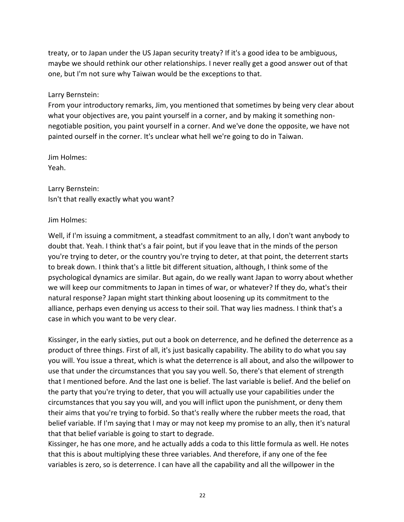treaty, or to Japan under the US Japan security treaty? If it's a good idea to be ambiguous, maybe we should rethink our other relationships. I never really get a good answer out of that one, but I'm not sure why Taiwan would be the exceptions to that.

Larry Bernstein:

From your introductory remarks, Jim, you mentioned that sometimes by being very clear about what your objectives are, you paint yourself in a corner, and by making it something nonnegotiable position, you paint yourself in a corner. And we've done the opposite, we have not painted ourself in the corner. It's unclear what hell we're going to do in Taiwan.

Jim Holmes: Yeah.

Larry Bernstein: Isn't that really exactly what you want?

Jim Holmes:

Well, if I'm issuing a commitment, a steadfast commitment to an ally, I don't want anybody to doubt that. Yeah. I think that's a fair point, but if you leave that in the minds of the person you're trying to deter, or the country you're trying to deter, at that point, the deterrent starts to break down. I think that's a little bit different situation, although, I think some of the psychological dynamics are similar. But again, do we really want Japan to worry about whether we will keep our commitments to Japan in times of war, or whatever? If they do, what's their natural response? Japan might start thinking about loosening up its commitment to the alliance, perhaps even denying us access to their soil. That way lies madness. I think that's a case in which you want to be very clear.

Kissinger, in the early sixties, put out a book on deterrence, and he defined the deterrence as a product of three things. First of all, it's just basically capability. The ability to do what you say you will. You issue a threat, which is what the deterrence is all about, and also the willpower to use that under the circumstances that you say you well. So, there's that element of strength that I mentioned before. And the last one is belief. The last variable is belief. And the belief on the party that you're trying to deter, that you will actually use your capabilities under the circumstances that you say you will, and you will inflict upon the punishment, or deny them their aims that you're trying to forbid. So that's really where the rubber meets the road, that belief variable. If I'm saying that I may or may not keep my promise to an ally, then it's natural that that belief variable is going to start to degrade.

Kissinger, he has one more, and he actually adds a coda to this little formula as well. He notes that this is about multiplying these three variables. And therefore, if any one of the fee variables is zero, so is deterrence. I can have all the capability and all the willpower in the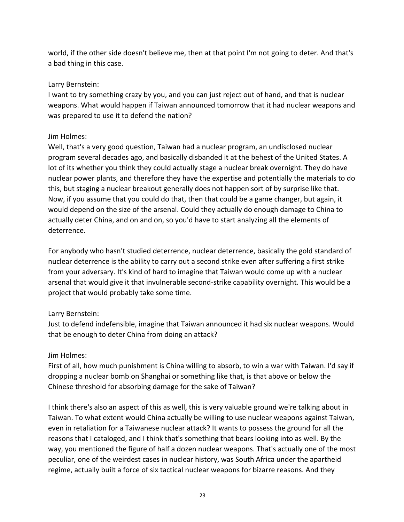world, if the other side doesn't believe me, then at that point I'm not going to deter. And that's a bad thing in this case.

## Larry Bernstein:

I want to try something crazy by you, and you can just reject out of hand, and that is nuclear weapons. What would happen if Taiwan announced tomorrow that it had nuclear weapons and was prepared to use it to defend the nation?

## Jim Holmes:

Well, that's a very good question, Taiwan had a nuclear program, an undisclosed nuclear program several decades ago, and basically disbanded it at the behest of the United States. A lot of its whether you think they could actually stage a nuclear break overnight. They do have nuclear power plants, and therefore they have the expertise and potentially the materials to do this, but staging a nuclear breakout generally does not happen sort of by surprise like that. Now, if you assume that you could do that, then that could be a game changer, but again, it would depend on the size of the arsenal. Could they actually do enough damage to China to actually deter China, and on and on, so you'd have to start analyzing all the elements of deterrence.

For anybody who hasn't studied deterrence, nuclear deterrence, basically the gold standard of nuclear deterrence is the ability to carry out a second strike even after suffering a first strike from your adversary. It's kind of hard to imagine that Taiwan would come up with a nuclear arsenal that would give it that invulnerable second-strike capability overnight. This would be a project that would probably take some time.

# Larry Bernstein:

Just to defend indefensible, imagine that Taiwan announced it had six nuclear weapons. Would that be enough to deter China from doing an attack?

# Jim Holmes:

First of all, how much punishment is China willing to absorb, to win a war with Taiwan. I'd say if dropping a nuclear bomb on Shanghai or something like that, is that above or below the Chinese threshold for absorbing damage for the sake of Taiwan?

I think there's also an aspect of this as well, this is very valuable ground we're talking about in Taiwan. To what extent would China actually be willing to use nuclear weapons against Taiwan, even in retaliation for a Taiwanese nuclear attack? It wants to possess the ground for all the reasons that I cataloged, and I think that's something that bears looking into as well. By the way, you mentioned the figure of half a dozen nuclear weapons. That's actually one of the most peculiar, one of the weirdest cases in nuclear history, was South Africa under the apartheid regime, actually built a force of six tactical nuclear weapons for bizarre reasons. And they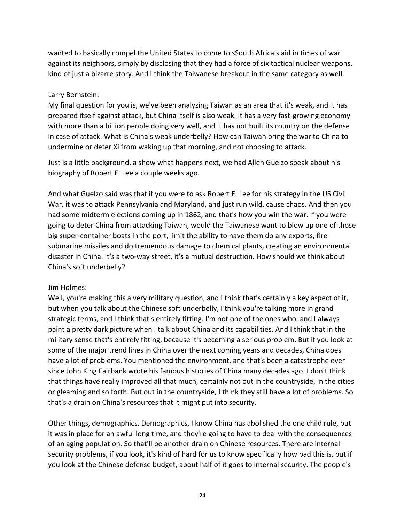wanted to basically compel the United States to come to sSouth Africa's aid in times of war against its neighbors, simply by disclosing that they had a force of six tactical nuclear weapons, kind of just a bizarre story. And I think the Taiwanese breakout in the same category as well.

#### Larry Bernstein:

My final question for you is, we've been analyzing Taiwan as an area that it's weak, and it has prepared itself against attack, but China itself is also weak. It has a very fast-growing economy with more than a billion people doing very well, and it has not built its country on the defense in case of attack. What is China's weak underbelly? How can Taiwan bring the war to China to undermine or deter Xi from waking up that morning, and not choosing to attack.

Just is a little background, a show what happens next, we had Allen Guelzo speak about his biography of Robert E. Lee a couple weeks ago.

And what Guelzo said was that if you were to ask Robert E. Lee for his strategy in the US Civil War, it was to attack Pennsylvania and Maryland, and just run wild, cause chaos. And then you had some midterm elections coming up in 1862, and that's how you win the war. If you were going to deter China from attacking Taiwan, would the Taiwanese want to blow up one of those big super-container boats in the port, limit the ability to have them do any exports, fire submarine missiles and do tremendous damage to chemical plants, creating an environmental disaster in China. It's a two-way street, it's a mutual destruction. How should we think about China's soft underbelly?

### Jim Holmes:

Well, you're making this a very military question, and I think that's certainly a key aspect of it, but when you talk about the Chinese soft underbelly, I think you're talking more in grand strategic terms, and I think that's entirely fitting. I'm not one of the ones who, and I always paint a pretty dark picture when I talk about China and its capabilities. And I think that in the military sense that's entirely fitting, because it's becoming a serious problem. But if you look at some of the major trend lines in China over the next coming years and decades, China does have a lot of problems. You mentioned the environment, and that's been a catastrophe ever since John King Fairbank wrote his famous histories of China many decades ago. I don't think that things have really improved all that much, certainly not out in the countryside, in the cities or gleaming and so forth. But out in the countryside, I think they still have a lot of problems. So that's a drain on China's resources that it might put into security.

Other things, demographics. Demographics, I know China has abolished the one child rule, but it was in place for an awful long time, and they're going to have to deal with the consequences of an aging population. So that'll be another drain on Chinese resources. There are internal security problems, if you look, it's kind of hard for us to know specifically how bad this is, but if you look at the Chinese defense budget, about half of it goes to internal security. The people's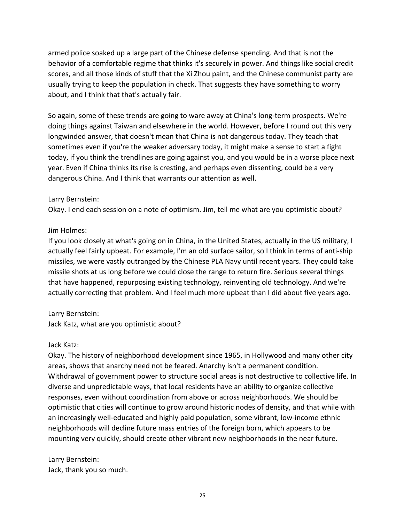armed police soaked up a large part of the Chinese defense spending. And that is not the behavior of a comfortable regime that thinks it's securely in power. And things like social credit scores, and all those kinds of stuff that the Xi Zhou paint, and the Chinese communist party are usually trying to keep the population in check. That suggests they have something to worry about, and I think that that's actually fair.

So again, some of these trends are going to ware away at China's long-term prospects. We're doing things against Taiwan and elsewhere in the world. However, before I round out this very longwinded answer, that doesn't mean that China is not dangerous today. They teach that sometimes even if you're the weaker adversary today, it might make a sense to start a fight today, if you think the trendlines are going against you, and you would be in a worse place next year. Even if China thinks its rise is cresting, and perhaps even dissenting, could be a very dangerous China. And I think that warrants our attention as well.

### Larry Bernstein:

Okay. I end each session on a note of optimism. Jim, tell me what are you optimistic about?

#### Jim Holmes:

If you look closely at what's going on in China, in the United States, actually in the US military, I actually feel fairly upbeat. For example, I'm an old surface sailor, so I think in terms of anti-ship missiles, we were vastly outranged by the Chinese PLA Navy until recent years. They could take missile shots at us long before we could close the range to return fire. Serious several things that have happened, repurposing existing technology, reinventing old technology. And we're actually correcting that problem. And I feel much more upbeat than I did about five years ago.

### Larry Bernstein:

Jack Katz, what are you optimistic about?

### Jack Katz:

Okay. The history of neighborhood development since 1965, in Hollywood and many other city areas, shows that anarchy need not be feared. Anarchy isn't a permanent condition. Withdrawal of government power to structure social areas is not destructive to collective life. In diverse and unpredictable ways, that local residents have an ability to organize collective responses, even without coordination from above or across neighborhoods. We should be optimistic that cities will continue to grow around historic nodes of density, and that while with an increasingly well-educated and highly paid population, some vibrant, low-income ethnic neighborhoods will decline future mass entries of the foreign born, which appears to be mounting very quickly, should create other vibrant new neighborhoods in the near future.

Larry Bernstein: Jack, thank you so much.